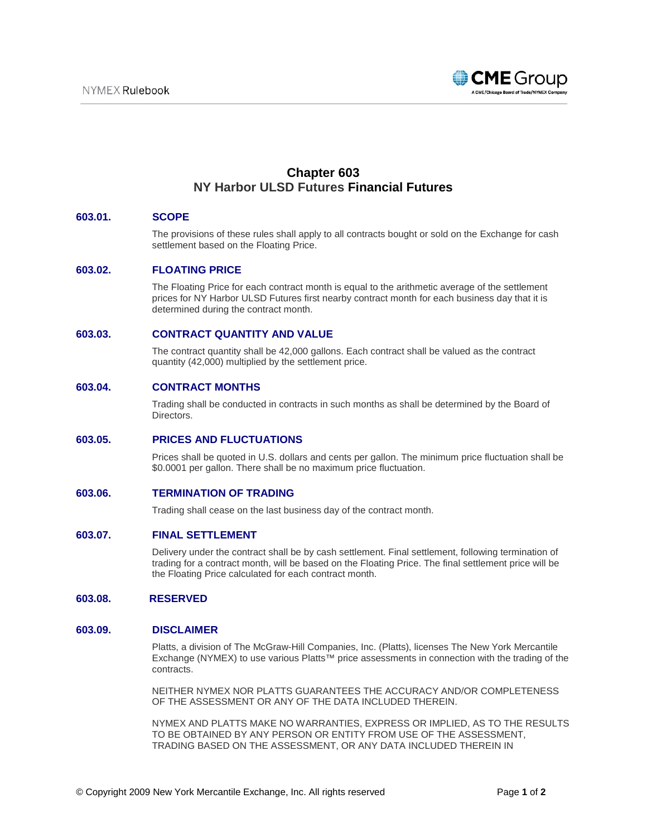

# **Chapter 603 NY Harbor ULSD Futures Financial Futures**

## **603.01. SCOPE**

The provisions of these rules shall apply to all contracts bought or sold on the Exchange for cash settlement based on the Floating Price.

#### **603.02. FLOATING PRICE**

The Floating Price for each contract month is equal to the arithmetic average of the settlement prices for NY Harbor ULSD Futures first nearby contract month for each business day that it is determined during the contract month.

## **603.03. CONTRACT QUANTITY AND VALUE**

The contract quantity shall be 42,000 gallons. Each contract shall be valued as the contract quantity (42,000) multiplied by the settlement price.

## **603.04. CONTRACT MONTHS**

Trading shall be conducted in contracts in such months as shall be determined by the Board of Directors.

#### **603.05. PRICES AND FLUCTUATIONS**

Prices shall be quoted in U.S. dollars and cents per gallon. The minimum price fluctuation shall be \$0.0001 per gallon. There shall be no maximum price fluctuation.

### **603.06. TERMINATION OF TRADING**

Trading shall cease on the last business day of the contract month.

#### **603.07. FINAL SETTLEMENT**

Delivery under the contract shall be by cash settlement. Final settlement, following termination of trading for a contract month, will be based on the Floating Price. The final settlement price will be the Floating Price calculated for each contract month.

### **603.08. RESERVED**

#### **603.09. DISCLAIMER**

Platts, a division of The McGraw-Hill Companies, Inc. (Platts), licenses The New York Mercantile Exchange (NYMEX) to use various Platts™ price assessments in connection with the trading of the contracts.

NEITHER NYMEX NOR PLATTS GUARANTEES THE ACCURACY AND/OR COMPLETENESS OF THE ASSESSMENT OR ANY OF THE DATA INCLUDED THEREIN.

NYMEX AND PLATTS MAKE NO WARRANTIES, EXPRESS OR IMPLIED, AS TO THE RESULTS TO BE OBTAINED BY ANY PERSON OR ENTITY FROM USE OF THE ASSESSMENT, TRADING BASED ON THE ASSESSMENT, OR ANY DATA INCLUDED THEREIN IN